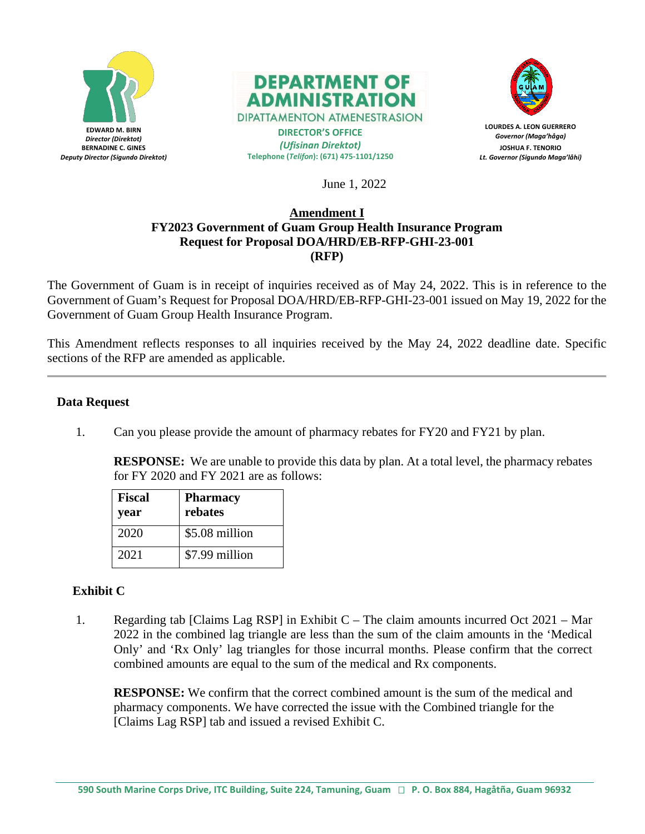



**DIPATTAMENTON ATMENESTRASION DIRECTOR'S OFFICE**

*(Ufisinan Direktot)* **Telephone (***Telifon***): (671) 475-1101/1250**



**LOURDES A. LEON GUERRERO** *Governor (Maga'håga)* **JOSHUA F. TENORIO** *Lt. Governor (Sigundo Maga'låhi)*

June 1, 2022

### **Amendment I FY2023 Government of Guam Group Health Insurance Program Request for Proposal DOA/HRD/EB-RFP-GHI-23-001 (RFP)**

The Government of Guam is in receipt of inquiries received as of May 24, 2022. This is in reference to the Government of Guam's Request for Proposal DOA/HRD/EB-RFP-GHI-23-001 issued on May 19, 2022 for the Government of Guam Group Health Insurance Program.

This Amendment reflects responses to all inquiries received by the May 24, 2022 deadline date. Specific sections of the RFP are amended as applicable.

# **Data Request**

1. Can you please provide the amount of pharmacy rebates for FY20 and FY21 by plan.

**RESPONSE:** We are unable to provide this data by plan. At a total level, the pharmacy rebates for FY 2020 and FY 2021 are as follows:

| <b>Fiscal</b><br>year | <b>Pharmacy</b><br>rebates |
|-----------------------|----------------------------|
| 2020                  | \$5.08 million             |
| 2021                  | \$7.99 million             |

# **Exhibit C**

1. Regarding tab [Claims Lag RSP] in Exhibit C – The claim amounts incurred Oct 2021 – Mar 2022 in the combined lag triangle are less than the sum of the claim amounts in the 'Medical Only' and 'Rx Only' lag triangles for those incurral months. Please confirm that the correct combined amounts are equal to the sum of the medical and Rx components.

**RESPONSE:** We confirm that the correct combined amount is the sum of the medical and pharmacy components. We have corrected the issue with the Combined triangle for the [Claims Lag RSP] tab and issued a revised Exhibit C.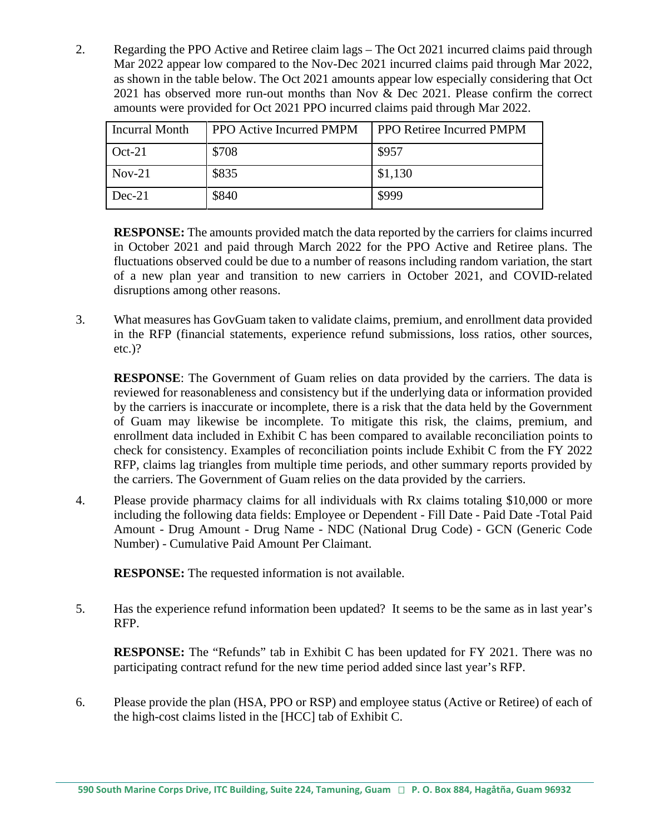2. Regarding the PPO Active and Retiree claim lags – The Oct 2021 incurred claims paid through Mar 2022 appear low compared to the Nov-Dec 2021 incurred claims paid through Mar 2022, as shown in the table below. The Oct 2021 amounts appear low especially considering that Oct 2021 has observed more run-out months than Nov & Dec 2021. Please confirm the correct amounts were provided for Oct 2021 PPO incurred claims paid through Mar 2022.

| <b>Incurral Month</b> | <b>PPO Active Incurred PMPM</b> | <b>PPO Retiree Incurred PMPM</b> |
|-----------------------|---------------------------------|----------------------------------|
| $Oct-21$              | \$708                           | \$957                            |
| $Nov-21$              | \$835                           | \$1,130                          |
| $Dec-21$              | \$840                           | \$999                            |

**RESPONSE:** The amounts provided match the data reported by the carriers for claims incurred in October 2021 and paid through March 2022 for the PPO Active and Retiree plans. The fluctuations observed could be due to a number of reasons including random variation, the start of a new plan year and transition to new carriers in October 2021, and COVID-related disruptions among other reasons.

3. What measures has GovGuam taken to validate claims, premium, and enrollment data provided in the RFP (financial statements, experience refund submissions, loss ratios, other sources, etc.)?

**RESPONSE:** The Government of Guam relies on data provided by the carriers. The data is reviewed for reasonableness and consistency but if the underlying data or information provided by the carriers is inaccurate or incomplete, there is a risk that the data held by the Government of Guam may likewise be incomplete. To mitigate this risk, the claims, premium, and enrollment data included in Exhibit C has been compared to available reconciliation points to check for consistency. Examples of reconciliation points include Exhibit C from the FY 2022 RFP, claims lag triangles from multiple time periods, and other summary reports provided by the carriers. The Government of Guam relies on the data provided by the carriers.

4. Please provide pharmacy claims for all individuals with Rx claims totaling \$10,000 or more including the following data fields: Employee or Dependent - Fill Date - Paid Date -Total Paid Amount - Drug Amount - Drug Name - NDC (National Drug Code) - GCN (Generic Code Number) - Cumulative Paid Amount Per Claimant.

**RESPONSE:** The requested information is not available.

5. Has the experience refund information been updated? It seems to be the same as in last year's RFP.

**RESPONSE:** The "Refunds" tab in Exhibit C has been updated for FY 2021. There was no participating contract refund for the new time period added since last year's RFP.

6. Please provide the plan (HSA, PPO or RSP) and employee status (Active or Retiree) of each of the high-cost claims listed in the [HCC] tab of Exhibit C.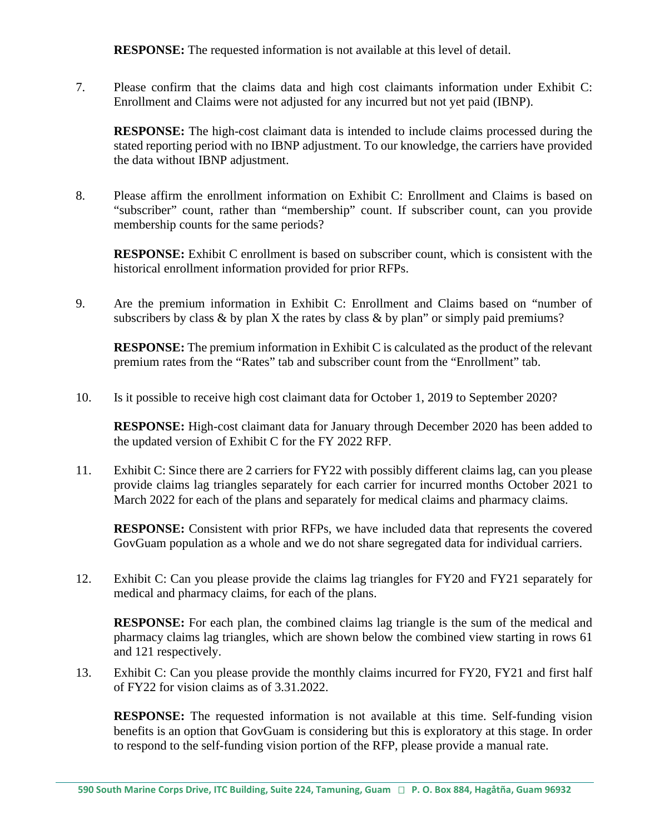**RESPONSE:** The requested information is not available at this level of detail.

7. Please confirm that the claims data and high cost claimants information under Exhibit C: Enrollment and Claims were not adjusted for any incurred but not yet paid (IBNP).

**RESPONSE:** The high-cost claimant data is intended to include claims processed during the stated reporting period with no IBNP adjustment. To our knowledge, the carriers have provided the data without IBNP adjustment.

8. Please affirm the enrollment information on Exhibit C: Enrollment and Claims is based on "subscriber" count, rather than "membership" count. If subscriber count, can you provide membership counts for the same periods?

**RESPONSE:** Exhibit C enrollment is based on subscriber count, which is consistent with the historical enrollment information provided for prior RFPs.

9. Are the premium information in Exhibit C: Enrollment and Claims based on "number of subscribers by class  $\&$  by plan X the rates by class  $\&$  by plan" or simply paid premiums?

**RESPONSE:** The premium information in Exhibit C is calculated as the product of the relevant premium rates from the "Rates" tab and subscriber count from the "Enrollment" tab.

10. Is it possible to receive high cost claimant data for October 1, 2019 to September 2020?

**RESPONSE:** High-cost claimant data for January through December 2020 has been added to the updated version of Exhibit C for the FY 2022 RFP.

11. Exhibit C: Since there are 2 carriers for FY22 with possibly different claims lag, can you please provide claims lag triangles separately for each carrier for incurred months October 2021 to March 2022 for each of the plans and separately for medical claims and pharmacy claims.

**RESPONSE:** Consistent with prior RFPs, we have included data that represents the covered GovGuam population as a whole and we do not share segregated data for individual carriers.

12. Exhibit C: Can you please provide the claims lag triangles for FY20 and FY21 separately for medical and pharmacy claims, for each of the plans.

**RESPONSE:** For each plan, the combined claims lag triangle is the sum of the medical and pharmacy claims lag triangles, which are shown below the combined view starting in rows 61 and 121 respectively.

13. Exhibit C: Can you please provide the monthly claims incurred for FY20, FY21 and first half of FY22 for vision claims as of 3.31.2022.

**RESPONSE:** The requested information is not available at this time. Self-funding vision benefits is an option that GovGuam is considering but this is exploratory at this stage. In order to respond to the self-funding vision portion of the RFP, please provide a manual rate.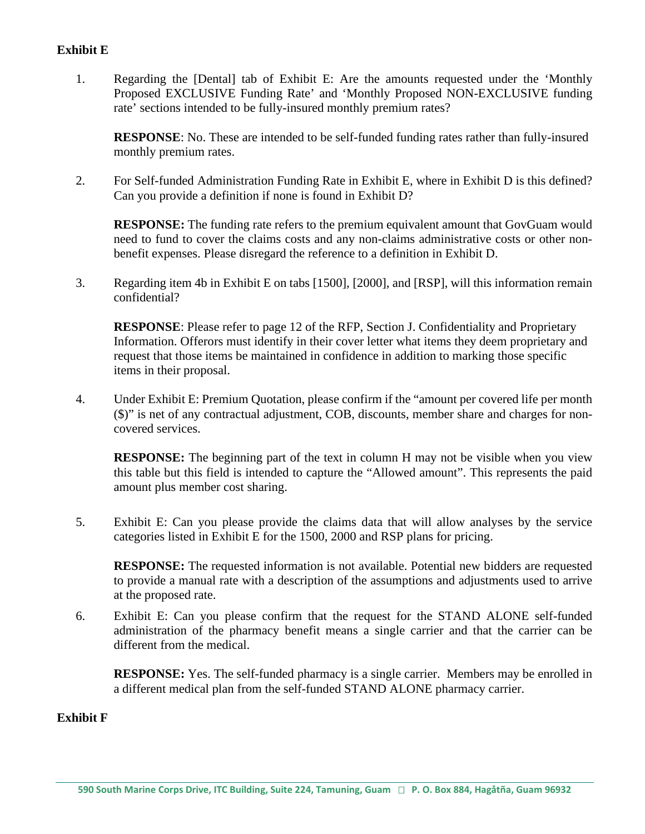## **Exhibit E**

1. Regarding the [Dental] tab of Exhibit E: Are the amounts requested under the 'Monthly Proposed EXCLUSIVE Funding Rate' and 'Monthly Proposed NON-EXCLUSIVE funding rate' sections intended to be fully-insured monthly premium rates?

**RESPONSE**: No. These are intended to be self-funded funding rates rather than fully-insured monthly premium rates.

2. For Self-funded Administration Funding Rate in Exhibit E, where in Exhibit D is this defined? Can you provide a definition if none is found in Exhibit D?

**RESPONSE:** The funding rate refers to the premium equivalent amount that GovGuam would need to fund to cover the claims costs and any non-claims administrative costs or other nonbenefit expenses. Please disregard the reference to a definition in Exhibit D.

3. Regarding item 4b in Exhibit E on tabs [1500], [2000], and [RSP], will this information remain confidential?

**RESPONSE**: Please refer to page 12 of the RFP, Section J. Confidentiality and Proprietary Information. Offerors must identify in their cover letter what items they deem proprietary and request that those items be maintained in confidence in addition to marking those specific items in their proposal.

4. Under Exhibit E: Premium Quotation, please confirm if the "amount per covered life per month (\$)" is net of any contractual adjustment, COB, discounts, member share and charges for noncovered services.

**RESPONSE:** The beginning part of the text in column H may not be visible when you view this table but this field is intended to capture the "Allowed amount". This represents the paid amount plus member cost sharing.

5. Exhibit E: Can you please provide the claims data that will allow analyses by the service categories listed in Exhibit E for the 1500, 2000 and RSP plans for pricing.

**RESPONSE:** The requested information is not available. Potential new bidders are requested to provide a manual rate with a description of the assumptions and adjustments used to arrive at the proposed rate.

6. Exhibit E: Can you please confirm that the request for the STAND ALONE self-funded administration of the pharmacy benefit means a single carrier and that the carrier can be different from the medical.

**RESPONSE:** Yes. The self-funded pharmacy is a single carrier. Members may be enrolled in a different medical plan from the self-funded STAND ALONE pharmacy carrier.

#### **Exhibit F**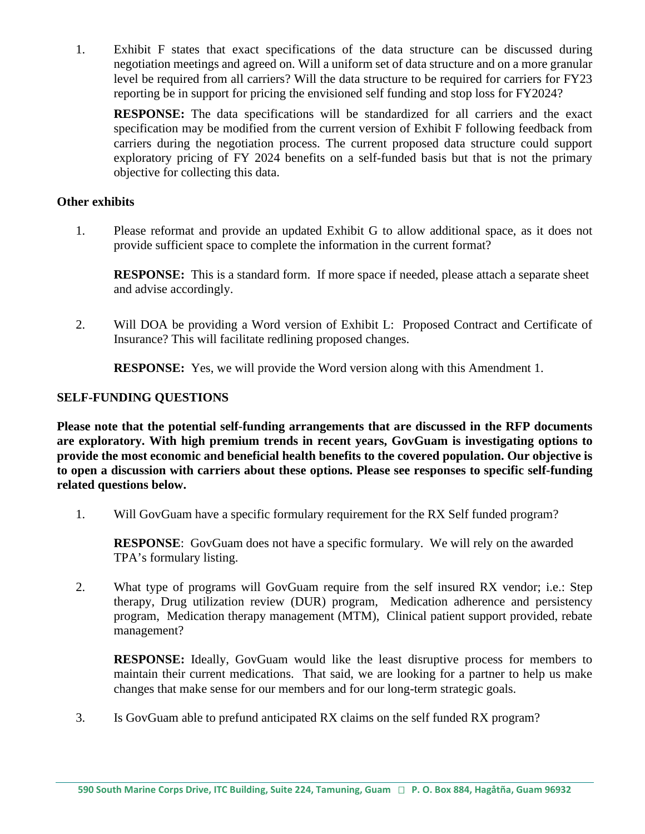1. Exhibit F states that exact specifications of the data structure can be discussed during negotiation meetings and agreed on. Will a uniform set of data structure and on a more granular level be required from all carriers? Will the data structure to be required for carriers for FY23 reporting be in support for pricing the envisioned self funding and stop loss for FY2024?

**RESPONSE:** The data specifications will be standardized for all carriers and the exact specification may be modified from the current version of Exhibit F following feedback from carriers during the negotiation process. The current proposed data structure could support exploratory pricing of FY 2024 benefits on a self-funded basis but that is not the primary objective for collecting this data.

## **Other exhibits**

1. Please reformat and provide an updated Exhibit G to allow additional space, as it does not provide sufficient space to complete the information in the current format?

**RESPONSE:** This is a standard form. If more space if needed, please attach a separate sheet and advise accordingly.

2. Will DOA be providing a Word version of Exhibit L: Proposed Contract and Certificate of Insurance? This will facilitate redlining proposed changes.

**RESPONSE:** Yes, we will provide the Word version along with this Amendment 1.

# **SELF-FUNDING QUESTIONS**

**Please note that the potential self-funding arrangements that are discussed in the RFP documents are exploratory. With high premium trends in recent years, GovGuam is investigating options to provide the most economic and beneficial health benefits to the covered population. Our objective is to open a discussion with carriers about these options. Please see responses to specific self-funding related questions below.** 

1. Will GovGuam have a specific formulary requirement for the RX Self funded program?

**RESPONSE**: GovGuam does not have a specific formulary. We will rely on the awarded TPA's formulary listing.

2. What type of programs will GovGuam require from the self insured RX vendor; i.e.: Step therapy, Drug utilization review (DUR) program, Medication adherence and persistency program, Medication therapy management (MTM), Clinical patient support provided, rebate management?

**RESPONSE:** Ideally, GovGuam would like the least disruptive process for members to maintain their current medications. That said, we are looking for a partner to help us make changes that make sense for our members and for our long-term strategic goals.

3. Is GovGuam able to prefund anticipated RX claims on the self funded RX program?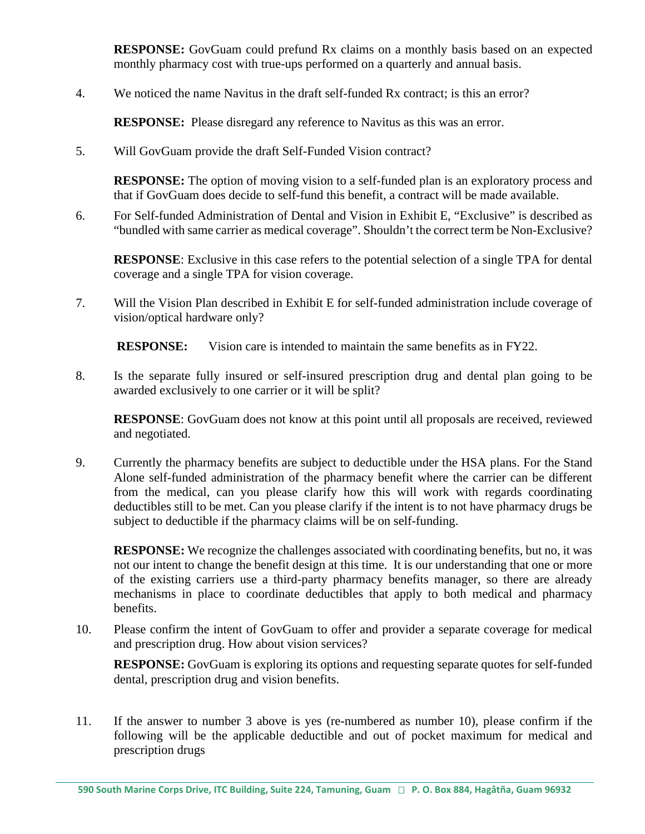**RESPONSE:** GovGuam could prefund Rx claims on a monthly basis based on an expected monthly pharmacy cost with true-ups performed on a quarterly and annual basis.

4. We noticed the name Navitus in the draft self-funded Rx contract; is this an error?

**RESPONSE:** Please disregard any reference to Navitus as this was an error.

5. Will GovGuam provide the draft Self-Funded Vision contract?

**RESPONSE:** The option of moving vision to a self-funded plan is an exploratory process and that if GovGuam does decide to self-fund this benefit, a contract will be made available.

6. For Self-funded Administration of Dental and Vision in Exhibit E, "Exclusive" is described as "bundled with same carrier as medical coverage". Shouldn't the correct term be Non-Exclusive?

**RESPONSE**: Exclusive in this case refers to the potential selection of a single TPA for dental coverage and a single TPA for vision coverage.

7. Will the Vision Plan described in Exhibit E for self-funded administration include coverage of vision/optical hardware only?

**RESPONSE:** Vision care is intended to maintain the same benefits as in FY22.

8. Is the separate fully insured or self-insured prescription drug and dental plan going to be awarded exclusively to one carrier or it will be split?

**RESPONSE:** GovGuam does not know at this point until all proposals are received, reviewed and negotiated.

9. Currently the pharmacy benefits are subject to deductible under the HSA plans. For the Stand Alone self-funded administration of the pharmacy benefit where the carrier can be different from the medical, can you please clarify how this will work with regards coordinating deductibles still to be met. Can you please clarify if the intent is to not have pharmacy drugs be subject to deductible if the pharmacy claims will be on self-funding.

**RESPONSE:** We recognize the challenges associated with coordinating benefits, but no, it was not our intent to change the benefit design at this time. It is our understanding that one or more of the existing carriers use a third-party pharmacy benefits manager, so there are already mechanisms in place to coordinate deductibles that apply to both medical and pharmacy benefits.

10. Please confirm the intent of GovGuam to offer and provider a separate coverage for medical and prescription drug. How about vision services?

**RESPONSE:** GovGuam is exploring its options and requesting separate quotes for self-funded dental, prescription drug and vision benefits.

11. If the answer to number 3 above is yes (re-numbered as number 10), please confirm if the following will be the applicable deductible and out of pocket maximum for medical and prescription drugs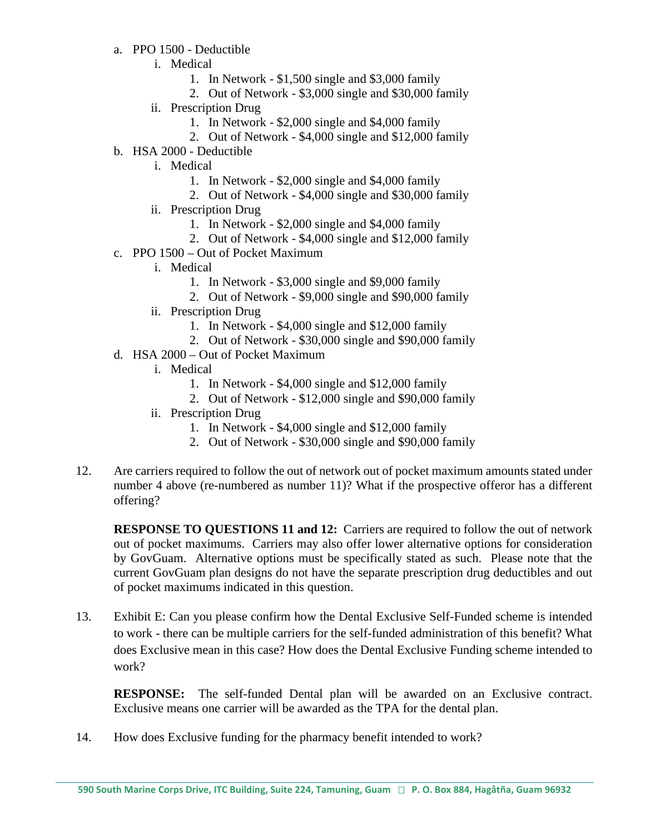- a. PPO 1500 Deductible
	- i. Medical
		- 1. In Network \$1,500 single and \$3,000 family
		- 2. Out of Network \$3,000 single and \$30,000 family
	- ii. Prescription Drug
		- 1. In Network \$2,000 single and \$4,000 family
		- 2. Out of Network \$4,000 single and \$12,000 family
- b. HSA 2000 Deductible
	- i. Medical
		- 1. In Network \$2,000 single and \$4,000 family
		- 2. Out of Network \$4,000 single and \$30,000 family
	- ii. Prescription Drug
		- 1. In Network \$2,000 single and \$4,000 family
		- 2. Out of Network \$4,000 single and \$12,000 family
- c. PPO 1500 Out of Pocket Maximum
	- i. Medical
		- 1. In Network \$3,000 single and \$9,000 family
		- 2. Out of Network \$9,000 single and \$90,000 family
	- ii. Prescription Drug
		- 1. In Network \$4,000 single and \$12,000 family
		- 2. Out of Network \$30,000 single and \$90,000 family
- d. HSA 2000 Out of Pocket Maximum
	- i. Medical
		- 1. In Network \$4,000 single and \$12,000 family
		- 2. Out of Network \$12,000 single and \$90,000 family
	- ii. Prescription Drug
		- 1. In Network \$4,000 single and \$12,000 family
		- 2. Out of Network \$30,000 single and \$90,000 family
- 12. Are carriers required to follow the out of network out of pocket maximum amounts stated under number 4 above (re-numbered as number 11)? What if the prospective offeror has a different offering?

**RESPONSE TO QUESTIONS 11 and 12:** Carriers are required to follow the out of network out of pocket maximums. Carriers may also offer lower alternative options for consideration by GovGuam. Alternative options must be specifically stated as such. Please note that the current GovGuam plan designs do not have the separate prescription drug deductibles and out of pocket maximums indicated in this question.

13. Exhibit E: Can you please confirm how the Dental Exclusive Self-Funded scheme is intended to work - there can be multiple carriers for the self-funded administration of this benefit? What does Exclusive mean in this case? How does the Dental Exclusive Funding scheme intended to work?

**RESPONSE:** The self-funded Dental plan will be awarded on an Exclusive contract. Exclusive means one carrier will be awarded as the TPA for the dental plan.

14. How does Exclusive funding for the pharmacy benefit intended to work?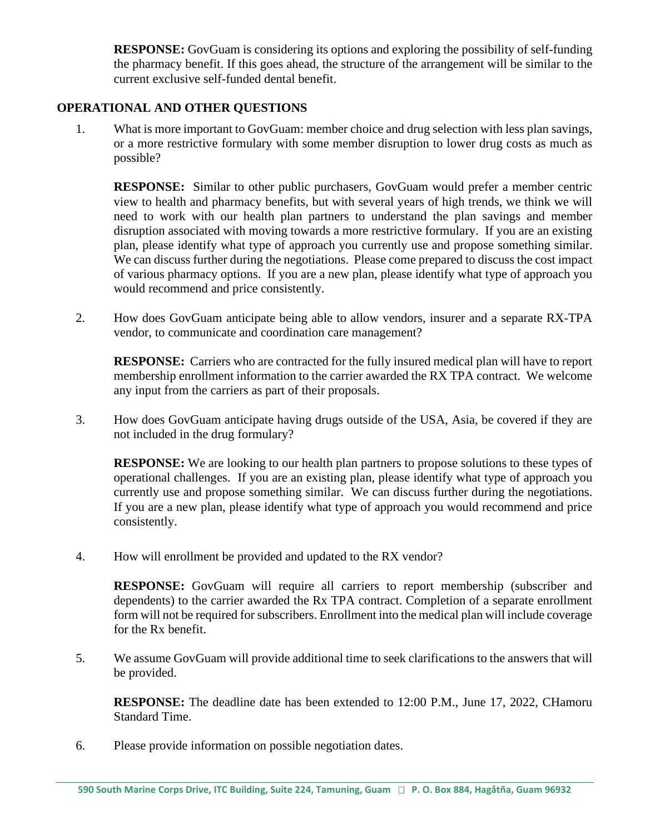**RESPONSE:** GovGuam is considering its options and exploring the possibility of self-funding the pharmacy benefit. If this goes ahead, the structure of the arrangement will be similar to the current exclusive self-funded dental benefit.

## **OPERATIONAL AND OTHER QUESTIONS**

1. What is more important to GovGuam: member choice and drug selection with less plan savings, or a more restrictive formulary with some member disruption to lower drug costs as much as possible?

**RESPONSE:** Similar to other public purchasers, GovGuam would prefer a member centric view to health and pharmacy benefits, but with several years of high trends, we think we will need to work with our health plan partners to understand the plan savings and member disruption associated with moving towards a more restrictive formulary. If you are an existing plan, please identify what type of approach you currently use and propose something similar. We can discuss further during the negotiations. Please come prepared to discuss the cost impact of various pharmacy options. If you are a new plan, please identify what type of approach you would recommend and price consistently.

2. How does GovGuam anticipate being able to allow vendors, insurer and a separate RX-TPA vendor, to communicate and coordination care management?

**RESPONSE:** Carriers who are contracted for the fully insured medical plan will have to report membership enrollment information to the carrier awarded the RX TPA contract. We welcome any input from the carriers as part of their proposals.

3. How does GovGuam anticipate having drugs outside of the USA, Asia, be covered if they are not included in the drug formulary?

**RESPONSE:** We are looking to our health plan partners to propose solutions to these types of operational challenges. If you are an existing plan, please identify what type of approach you currently use and propose something similar. We can discuss further during the negotiations. If you are a new plan, please identify what type of approach you would recommend and price consistently.

4. How will enrollment be provided and updated to the RX vendor?

**RESPONSE:** GovGuam will require all carriers to report membership (subscriber and dependents) to the carrier awarded the Rx TPA contract. Completion of a separate enrollment form will not be required for subscribers. Enrollment into the medical plan will include coverage for the Rx benefit.

5. We assume GovGuam will provide additional time to seek clarifications to the answers that will be provided.

**RESPONSE:** The deadline date has been extended to 12:00 P.M., June 17, 2022, CHamoru Standard Time.

6. Please provide information on possible negotiation dates.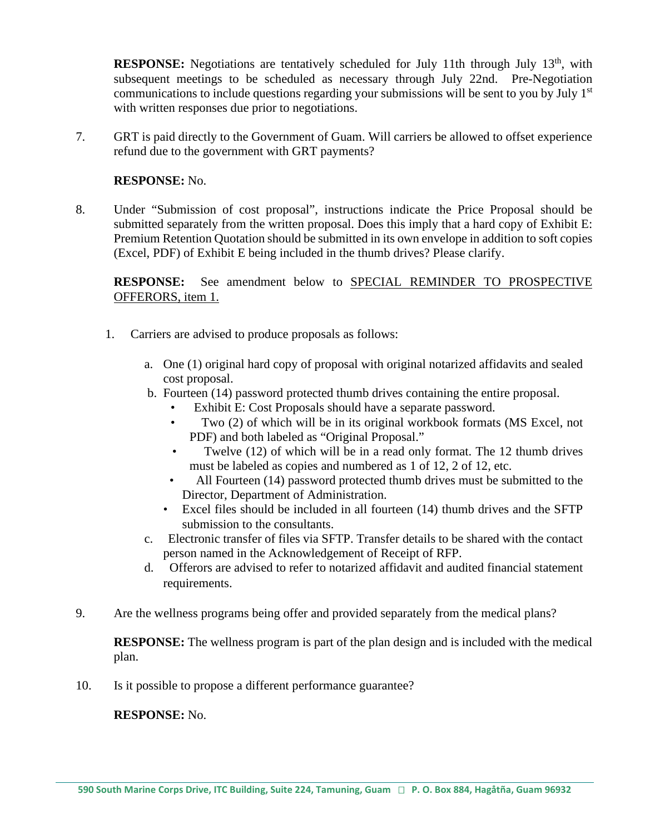**RESPONSE:** Negotiations are tentatively scheduled for July 11th through July 13<sup>th</sup>, with subsequent meetings to be scheduled as necessary through July 22nd. Pre-Negotiation communications to include questions regarding your submissions will be sent to you by July  $1<sup>st</sup>$ with written responses due prior to negotiations.

7. GRT is paid directly to the Government of Guam. Will carriers be allowed to offset experience refund due to the government with GRT payments?

#### **RESPONSE:** No.

8. Under "Submission of cost proposal", instructions indicate the Price Proposal should be submitted separately from the written proposal. Does this imply that a hard copy of Exhibit E: Premium Retention Quotation should be submitted in its own envelope in addition to soft copies (Excel, PDF) of Exhibit E being included in the thumb drives? Please clarify.

**RESPONSE:** See amendment below to SPECIAL REMINDER TO PROSPECTIVE OFFERORS, item 1.

- 1. Carriers are advised to produce proposals as follows:
	- a. One (1) original hard copy of proposal with original notarized affidavits and sealed cost proposal.
	- b. Fourteen (14) password protected thumb drives containing the entire proposal.
		- Exhibit E: Cost Proposals should have a separate password.
		- Two (2) of which will be in its original workbook formats (MS Excel, not PDF) and both labeled as "Original Proposal."
		- Twelve (12) of which will be in a read only format. The 12 thumb drives must be labeled as copies and numbered as 1 of 12, 2 of 12, etc.
		- All Fourteen (14) password protected thumb drives must be submitted to the Director, Department of Administration.
		- Excel files should be included in all fourteen (14) thumb drives and the SFTP submission to the consultants.
	- c. Electronic transfer of files via SFTP. Transfer details to be shared with the contact person named in the Acknowledgement of Receipt of RFP.
	- d. Offerors are advised to refer to notarized affidavit and audited financial statement requirements.
- 9. Are the wellness programs being offer and provided separately from the medical plans?

**RESPONSE:** The wellness program is part of the plan design and is included with the medical plan.

10. Is it possible to propose a different performance guarantee?

#### **RESPONSE:** No.